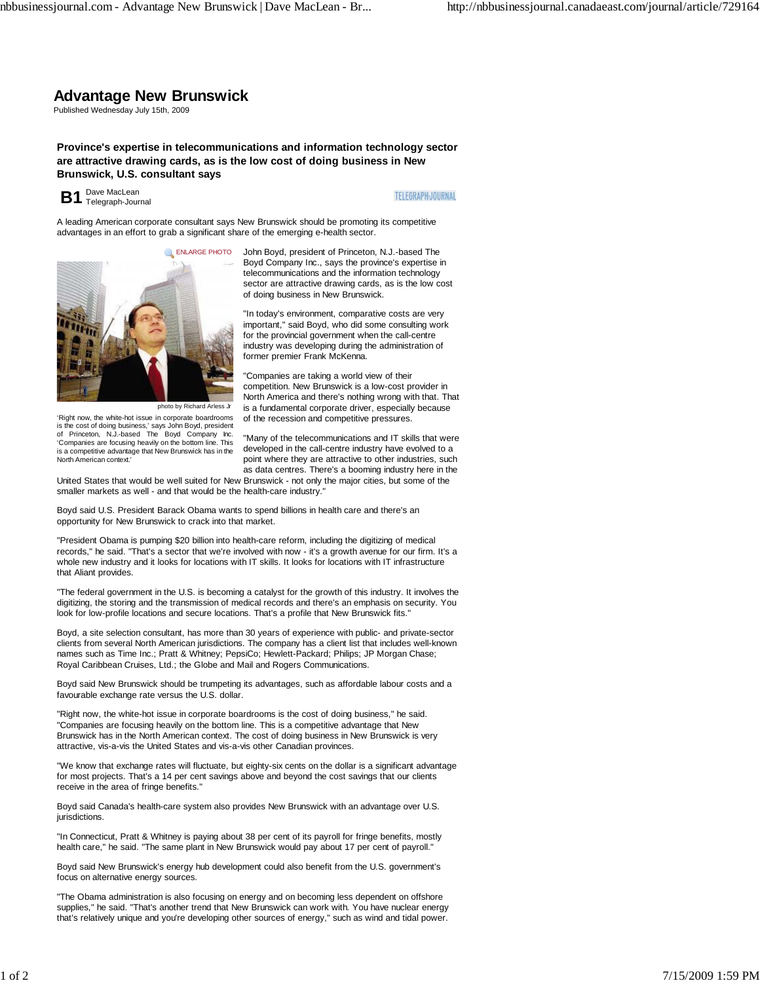## **Advantage New Brunswick**

Published Wednesday July 15th, 2009

**Province's expertise in telecommunications and information technology sector are attractive drawing cards, as is the low cost of doing business in New Brunswick, U.S. consultant says**

**B1** Dave MacLean **B1** Telegraph-Journal

North American context.'

**TELEGRAPH-JOURNAL** 

A leading American corporate consultant says New Brunswick should be promoting its competitive advantages in an effort to grab a significant share of the emerging e-health sector.



'Right now, the white-hot issue in corporate boardrooms is the cost of doing business,' says John Boyd, president of Princeton, N.J.-based The Boyd Company Inc. 'Companies are focusing heavily on the bottom line. This is a competitive advantage that New Brunswick has in the John Boyd, president of Princeton, N.J.-based The Boyd Company Inc., says the province's expertise in telecommunications and the information technology sector are attractive drawing cards, as is the low cost of doing business in New Brunswick.

"In today's environment, comparative costs are very important," said Boyd, who did some consulting work for the provincial government when the call-centre industry was developing during the administration of former premier Frank McKenna.

"Companies are taking a world view of their competition. New Brunswick is a low-cost provider in North America and there's nothing wrong with that. That is a fundamental corporate driver, especially because of the recession and competitive pressures.

"Many of the telecommunications and IT skills that were developed in the call-centre industry have evolved to a point where they are attractive to other industries, such as data centres. There's a booming industry here in the

United States that would be well suited for New Brunswick - not only the major cities, but some of the smaller markets as well - and that would be the health-care industry."

Boyd said U.S. President Barack Obama wants to spend billions in health care and there's an opportunity for New Brunswick to crack into that market.

"President Obama is pumping \$20 billion into health-care reform, including the digitizing of medical records," he said. "That's a sector that we're involved with now - it's a growth avenue for our firm. It's a whole new industry and it looks for locations with IT skills. It looks for locations with IT infrastructure that Aliant provides.

"The federal government in the U.S. is becoming a catalyst for the growth of this industry. It involves the digitizing, the storing and the transmission of medical records and there's an emphasis on security. You look for low-profile locations and secure locations. That's a profile that New Brunswick fits."

Boyd, a site selection consultant, has more than 30 years of experience with public- and private-sector clients from several North American jurisdictions. The company has a client list that includes well-known names such as Time Inc.; Pratt & Whitney; PepsiCo; Hewlett-Packard; Philips; JP Morgan Chase; Royal Caribbean Cruises, Ltd.; the Globe and Mail and Rogers Communications.

Boyd said New Brunswick should be trumpeting its advantages, such as affordable labour costs and a favourable exchange rate versus the U.S. dollar.

"Right now, the white-hot issue in corporate boardrooms is the cost of doing business," he said. "Companies are focusing heavily on the bottom line. This is a competitive advantage that New Brunswick has in the North American context. The cost of doing business in New Brunswick is very attractive, vis-a-vis the United States and vis-a-vis other Canadian provinces.

"We know that exchange rates will fluctuate, but eighty-six cents on the dollar is a significant advantage for most projects. That's a 14 per cent savings above and beyond the cost savings that our clients receive in the area of fringe benefits."

Boyd said Canada's health-care system also provides New Brunswick with an advantage over U.S. iurisdictions

"In Connecticut, Pratt & Whitney is paying about 38 per cent of its payroll for fringe benefits, mostly health care," he said. "The same plant in New Brunswick would pay about 17 per cent of payroll."

Boyd said New Brunswick's energy hub development could also benefit from the U.S. government's focus on alternative energy sources.

"The Obama administration is also focusing on energy and on becoming less dependent on offshore supplies," he said. "That's another trend that New Brunswick can work with. You have nuclear energy that's relatively unique and you're developing other sources of energy," such as wind and tidal power.